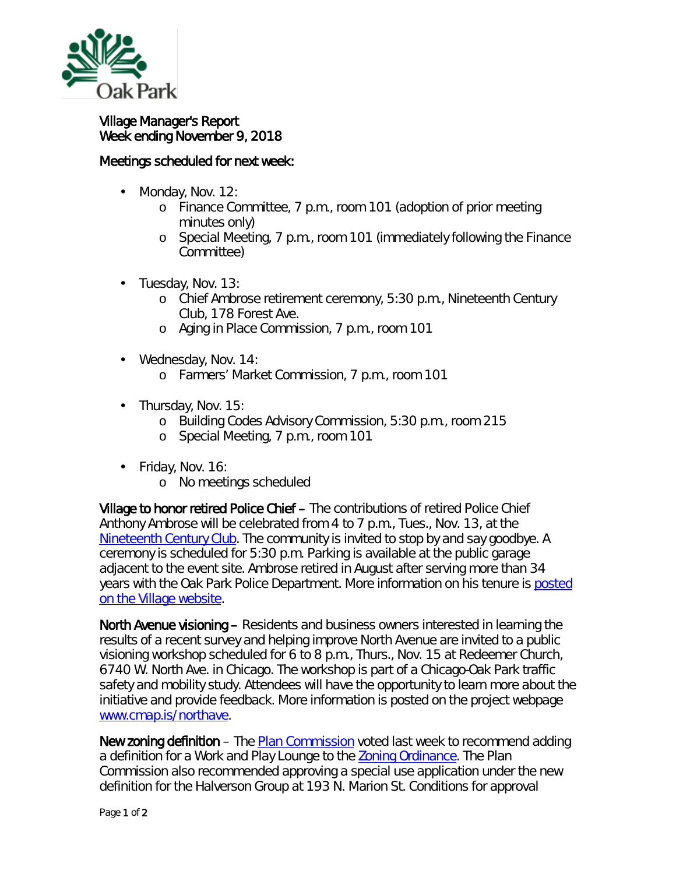

## Village Manager's Report Week ending November 9, 2018

## Meetings scheduled for next week:

- Monday, Nov. 12: ä,
	- o Finance Committee, 7 p.m., room 101 *(adoption of prior meeting minutes only)*
	- o Special Meeting, 7 p.m., room 101 *(immediately following the Finance Committee)*
- Tuesday, Nov. 13: L.
	- o Chief Ambrose retirement ceremony, 5:30 p.m., Nineteenth Century Club, 178 Forest Ave.
	- o Aging in Place Commission, 7 p.m., room 101
- Wednesday, Nov. 14:  $\mathbf{r}$ 
	- o Farmers' Market Commission, 7 p.m., room 101
- ä. Thursday, Nov. 15:
	- o Building Codes Advisory Commission, 5:30 p.m., room 215
	- o Special Meeting, 7 p.m., room 101
- Friday, Nov. 16: ¥,
	- o No meetings scheduled

Village to honor retired Police Chief – The contributions of retired Police Chief Anthony Ambrose will be celebrated from 4 to 7 p.m., Tues., Nov. 13, at the [Nineteenth Century Club.](https://www.nineteenthcentury.org/) The community is invited to stop by and say goodbye. A ceremony is scheduled for 5:30 p.m. Parking is available at the public garage adjacent to the event site. Ambrose retired in August after serving more than 34 years with the Oak Park Police Department. More information on his tenure is [posted](https://www.oak-park.us/news/police-chief-ambrose-retire-month) [on the Village website.](https://www.oak-park.us/news/police-chief-ambrose-retire-month)

North Avenue visioning – Residents and business owners interested in learning the results of a recent survey and helping improve North Avenue are invited to a public visioning workshop scheduled for 6 to 8 p.m., Thurs., Nov. 15 at Redeemer Church, 6740 W. North Ave. in Chicago. The workshop is part of a Chicago-Oak Park traffic safety and mobility study. Attendees will have the opportunity to learn more about the initiative and provide feedback. More information is posted on the project webpage [www.cmap.is/northave.](http://www.cmap.is/northave)

New zoning definition – The [Plan Commission](https://www.oak-park.us/your-government/citizen-commissions/plan-commission) voted last week to recommend adding a definition for a *Work and Play Lounge* to the [Zoning Ordinance.](https://www.oak-park.us/sites/default/files/zoning/_2017_oak_park_zoning_ordinance_revised_9.13.2018_reduced.pdf) The Plan Commission also recommended approving a special use application under the new definition for the Halverson Group at 193 N. Marion St. Conditions for approval